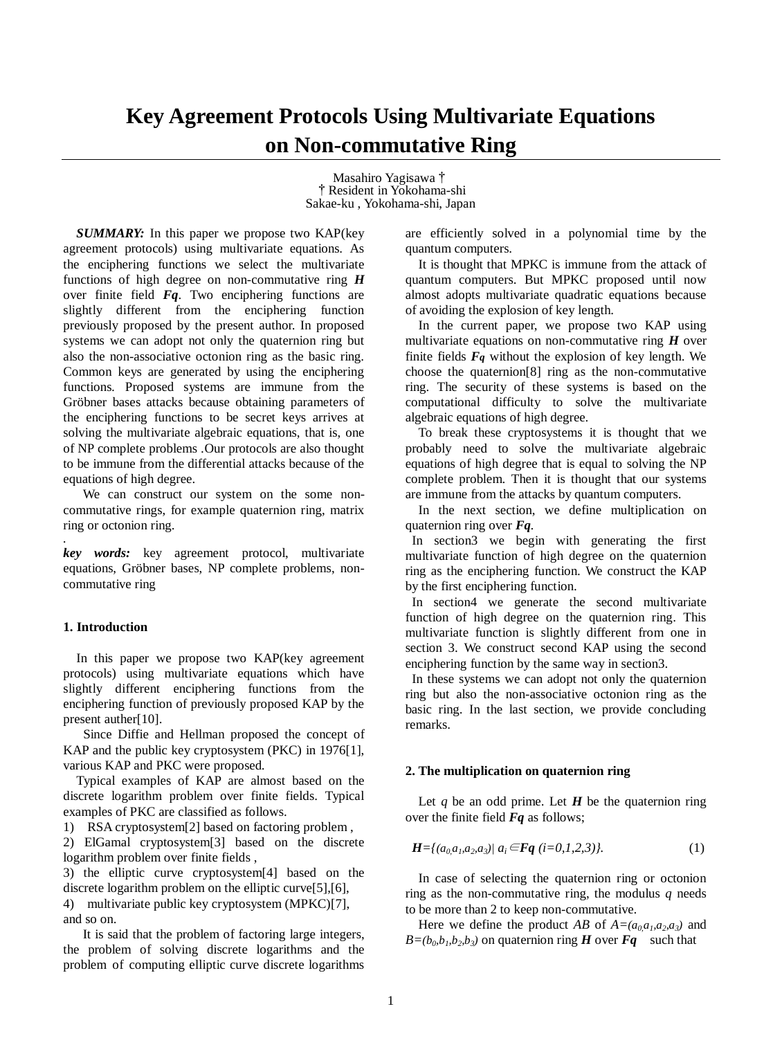# **Key Agreement Protocols Using Multivariate Equations on Non-commutative Ring**

Masahiro Yagisawa† †Resident in Yokohama-shi Sakae-ku , Yokohama-shi, Japan

*SUMMARY:* In this paper we propose two KAP(key agreement protocols) using multivariate equations. As the enciphering functions we select the multivariate functions of high degree on non-commutative ring *H*  over finite field *Fq*. Two enciphering functions are slightly different from the enciphering function previously proposed by the present author. In proposed systems we can adopt not only the quaternion ring but also the non-associative octonion ring as the basic ring. Common keys are generated by using the enciphering functions*.* Proposed systems are immune from the Gröbner bases attacks because obtaining parameters of the enciphering functions to be secret keys arrives at solving the multivariate algebraic equations, that is, one of NP complete problems *.*Our protocols are also thought to be immune from the differential attacks because of the equations of high degree.

We can construct our system on the some noncommutative rings, for example quaternion ring, matrix ring or octonion ring. *.*

*key words:* key agreement protocol, multivariate equations, Gröbner bases, NP complete problems, noncommutative ring

# **1. Introduction**

In this paper we propose two KAP(key agreement protocols) using multivariate equations which have slightly different enciphering functions from the enciphering function of previously proposed KAP by the present auther[10].

Since Diffie and Hellman proposed the concept of KAP and the public key cryptosystem (PKC) in 1976[1], various KAP and PKC were proposed.

 Typical examples of KAP are almost based on the discrete logarithm problem over finite fields. Typical examples of PKC are classified as follows.

1) RSA cryptosystem[2] based on factoring problem ,

2) ElGamal cryptosystem[3] based on the discrete logarithm problem over finite fields ,

3) the elliptic curve cryptosystem[4] based on the discrete logarithm problem on the elliptic curve[5],[6], 4) multivariate public key cryptosystem (MPKC)[7], and so on.

 It is said that the problem of factoring large integers, the problem of solving discrete logarithms and the problem of computing elliptic curve discrete logarithms

are efficiently solved in a polynomial time by the quantum computers.

It is thought that MPKC is immune from the attack of quantum computers. But MPKC proposed until now almost adopts multivariate quadratic equations because of avoiding the explosion of key length.

In the current paper, we propose two KAP using multivariate equations on non-commutative ring *H* over finite fields *Fq* without the explosion of key length. We choose the quaternion[8] ring as the non-commutative ring. The security of these systems is based on the computational difficulty to solve the multivariate algebraic equations of high degree.

To break these cryptosystems it is thought that we probably need to solve the multivariate algebraic equations of high degree that is equal to solving the NP complete problem. Then it is thought that our systems are immune from the attacks by quantum computers.

 In the next section, we define multiplication on quaternion ring over *Fq.*

In section3 we begin with generating the first multivariate function of high degree on the quaternion ring as the enciphering function. We construct the KAP by the first enciphering function.

In section4 we generate the second multivariate function of high degree on the quaternion ring. This multivariate function is slightly different from one in section 3. We construct second KAP using the second enciphering function by the same way in section3.

In these systems we can adopt not only the quaternion ring but also the non-associative octonion ring as the basic ring. In the last section, we provide concluding remarks.

# **2. The multiplication on quaternion ring**

Let  $q$  be an odd prime. Let  $H$  be the quaternion ring over the finite field *Fq* as follows;

$$
H = \{(a_0, a_1, a_2, a_3)| a_i \in Fq \ (i = 0, 1, 2, 3)\}.
$$
 (1)

In case of selecting the quaternion ring or octonion ring as the non-commutative ring, the modulus  $q$  needs to be more than 2 to keep non-commutative.

Here we define the product *AB* of  $A=(a_0, a_1, a_2, a_3)$  and  $B = (b_0, b_1, b_2, b_3)$  on quaternion ring *H* over *Fq* such that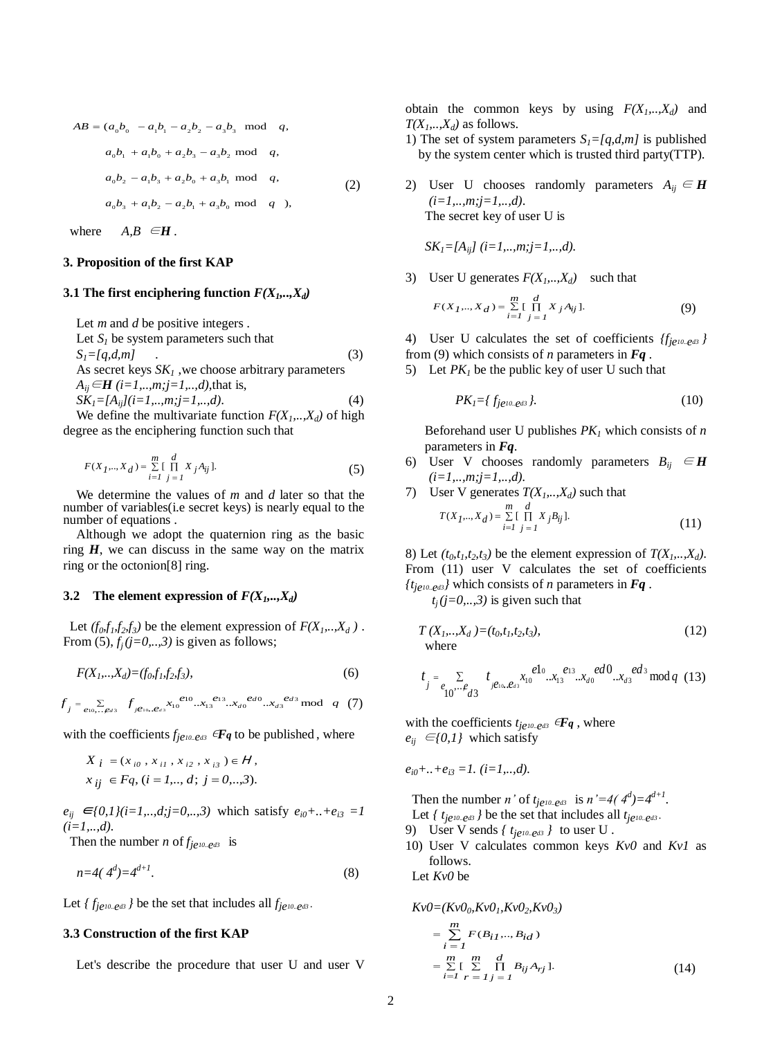$$
AB = (a_0b_0 - a_1b_1 - a_2b_2 - a_3b_3 \text{ mod } q, \text{T(2)}
$$
  
\n
$$
a_0b_1 + a_1b_0 + a_2b_3 - a_3b_2 \text{ mod } q, \text{T(2)}
$$
  
\n
$$
a_0b_2 - a_1b_3 + a_2b_0 + a_3b_1 \text{ mod } q, \text{T(2)}
$$
  
\n
$$
a_0b_3 + a_1b_2 - a_2b_1 + a_3b_0 \text{ mod } q, \text{T(2)}
$$

where  $A, B \in H$ .

# **3. Proposition of the first KAP**

# **3.1 The first enciphering function**  $F(X_1, \ldots, X_d)$

Let *m* and *d* be positive integers *.*

Let  $S<sub>1</sub>$  be system parameters such that  $S_1 = [q, d, m]$  (3) As secret keys  $SK<sub>1</sub>$ , we choose arbitrary parameters *A*<sub>*ij*</sub> ∈*H* (*i*=*1*,..,*m*;*j*=*1*,..,*d*),that is,  $SK<sub>I</sub> = [A<sub>ij</sub>](i=1,..,m;j=1,..,d)$ . (4)

We define the multivariate function  $F(X_1, \ldots, X_d)$  of high degree as the enciphering function such that

$$
F(X_1, ..., X_d) = \sum_{i=1}^{m} \left[ \prod_{j=1}^{d} X_j A_{ij} \right].
$$
 (5) (5)

We determine the values of *m* and *d* later so that the number of variables(i.e secret keys) is nearly equal to the number of equations .

Although we adopt the quaternion ring as the basic ring  $H$ , we can discuss in the same way on the matrix ring or the octonion[8] ring.

## **3.2** The element expression of  $F(X_1, \ldots, X_d)$

Let  $(f_0, f_1, f_2, f_3)$  be the element expression of  $F(X_1, \ldots, X_d)$ . From  $(5)$ ,  $f_i$   $(j=0,..,3)$  is given as follows;

$$
F(X_1, ..., X_d) = (f_0, f_1, f_2, f_3),
$$
\n(6)

$$
f_j = \sum_{e_{10}, \dots, e_{d3}} f_{j e_{10}, e_{d3}} x_1 e^{e_{10}} ... x_1 e^{e_{13}} ... x_d e^{e_{d0}} ... x_d e^{e_{d3}} \mod q \quad (7)
$$

with the coefficients  $f_{j\ell^{10} \cdot \ell^{d3}}$   $\in \mathbf{F}$ *q* to be published, where

$$
X_{i} = (x_{i0}, x_{i1}, x_{i2}, x_{i3}) \in H,
$$
  
\n
$$
x_{ij} \in Fq, (i = 1, ..., d; j = 0, ..., 3).
$$
  
\n
$$
e_{i0} + ... +
$$

 $e_{ij} \in \{0,1\}$  (*i*=1,..,d;*j*=0,..,3) which satisfy  $e_{i0} + ... + e_{i3} = 1$  $(i=1,...,d)$ .

Then the number *n* of  $f_{j\ell^{10} \cdot \ell^{d3}}$  is

$$
n=4(\ 4^d)=4^{d+1}.\tag{8}
$$

Let  $\{f_{j\ell^{10} \cdot \ell^{d3}}\}$  be the set that includes all  $f_{j\ell^{10} \cdot \ell^{d3}}$ .

## **3.3 Construction of the first KAP**

Let's describe the procedure that user U and user V

obtain the common keys by using  $F(X_1, \ldots, X_d)$  and  $T(X_1, \ldots, X_d)$  as follows.

- 1) The set of system parameters  $S_l = [q, d, m]$  is published by the system center which is trusted third party(TTP).
- 2) User U chooses randomly parameters  $A_{ij} \in H$ *(i=1,..,m;j=1,..,d)*. The secret key of user U is

*SK*<sub>1</sub>=[ $A_{ii}$ ] (*i*=1,..,*m*;*j*=1,..,*d*).

3) User U generates  $F(X_1, \ldots, X_d)$  such that

$$
F(X_1, ..., X_d) = \sum_{i=1}^{m} \left[ \prod_{j=1}^{d} X_j A_{ij} \right].
$$
 (9)

4) User U calculates the set of coefficients *{fje10..ed3 }*  from (9) which consists of *n* parameters in *Fq .*

5) Let  $PK<sub>l</sub>$  be the public key of user U such that

$$
PK_{I} = \{f_{j\neq 10.. \varrho d3}\}.\tag{10}
$$

Beforehand user U publishes *PK<sup>1</sup>* which consists of *n* parameters in *Fq*.

6) User V chooses randomly parameters  $B_{ij} \in H$  $(i=1, ..., m; j=1, ..., d)$ .

7) User V generates 
$$
T(X_1,...,X_d)
$$
 such that  
\n
$$
T(X_1,...,X_d) = \sum_{i=1}^{m} \prod_{j=1}^{d} X_j B_{ij}.
$$
\n(11)

8) Let  $(t_0, t_1, t_2, t_3)$  be the element expression of  $T(X_1, \ldots, X_d)$ . From (11) user V calculates the set of coefficients  ${t_{\text{je10}}}_{\text{e23}}$  which consists of *n* parameters in *Fq*.

 $t_j$  (*j*=0,..,3) is given such that

$$
T(X_1, ..., X_d) = (t_0, t_1, t_2, t_3),
$$
\nwhere (12)

$$
t_{j} = \sum_{\substack{e_{10}\cdots e_{d3} \\ e_{10}e_{10}}} t_{j e_{10}} e_{a_{3}} x_{10}^{e_{10}} \cdots x_{13}^{e_{13}} \cdots x_{d0}^{e_{d0}} \cdots x_{d3}^{e_{d3}} \mod q \quad (13)
$$

with the coefficients  $t_{j\ell^{10} \cdot \ell^{d3}}$   $\in \mathbf{F}_q$ , where  $e_{ij} \in \{0,1\}$  which satisfy

$$
e_{i0} + ... + e_{i3} = 1
$$
. (*i*=1, ..., *d*).

Then the number *n*' of  $t_{j\ell^{10} \cdot \ell^{d3}}$  is  $n' = 4(4^d) = 4^{d+1}$ . Let  $\int t_{j}e^{i\theta} \cdot e^{i\theta}$  *l* be the set that includes all  $t_{j}e^{i\theta} \cdot e^{i\theta}$ .

- 9) User V sends  $\{t_{j}e^{i\theta} \cdot e^{i\theta}\}$  to user U.
- 10) User V calculates common keys *Kv0* and *Kv1* as

Let *Kv0* be

follows.

$$
Kv0=(Kv00, Kv01, Kv02, Kv03)
$$
  
= 
$$
\sum_{i=1}^{m} F(B_{i1},...,B_{id})
$$
  
= 
$$
\sum_{i=1}^{m} [\sum_{r=1}^{m} \prod_{j=1}^{d} B_{ij}A_{rj}].
$$
 (14)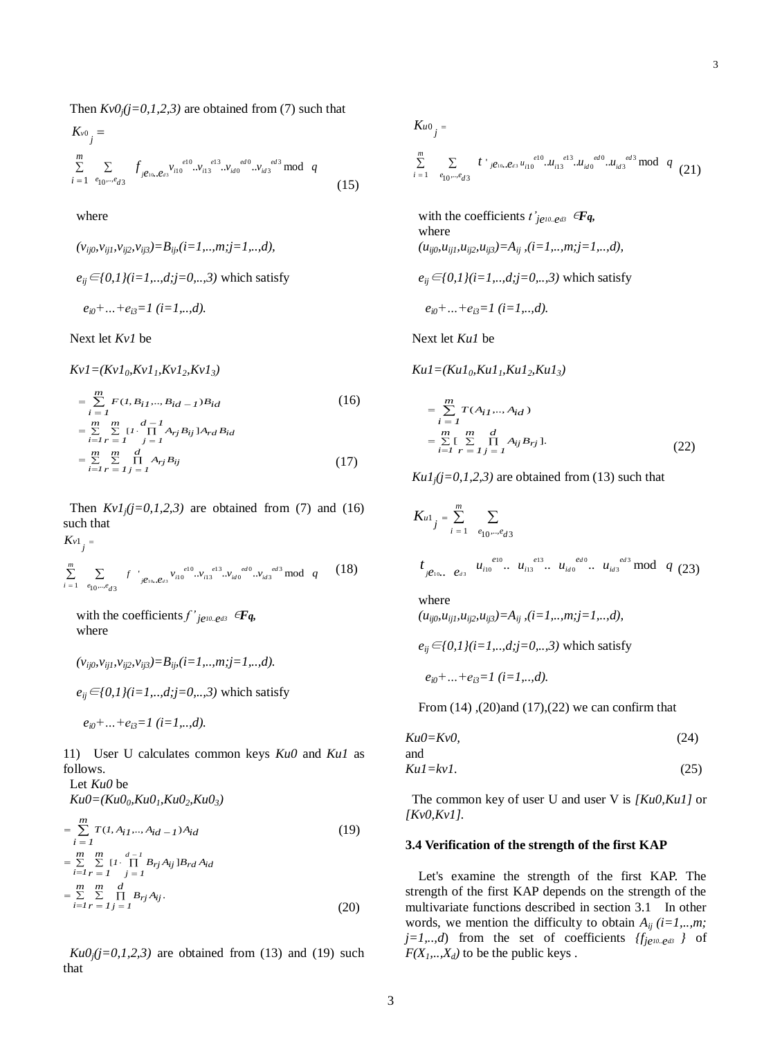Then  $Kv0<sub>i</sub>(j=0,1,2,3)$  are obtained from (7) such that

$$
K_{v0} =
$$
  
\n
$$
\sum_{i=1}^{m} \sum_{e_{10} \dots e_{d3}} f_{j e_{10}} e_{s3} v_{i10}^{e10} ... v_{i13}^{e13} ... v_{id0}^{e d0} ... v_{id3}^{e d3} \mod q
$$
  
\n
$$
(15)
$$

where

$$
(v_{ij0}, v_{ij1}, v_{ij2}, v_{ij3}) = B_{ij}, (i = 1, ..., m; j = 1, ..., d),
$$
  
\n
$$
e_{ij} \in \{0, 1\} \{i = 1, ..., d; j = 0, ..., 3\}
$$
 which satisfy  
\n
$$
e_{i0} + ... + e_{i3} = 1 \ (i = 1, ..., d).
$$

Next let *Kv1* be

$$
Kvl = (Kvl_0, Kv1_1, Kv1_2, Kv1_3)
$$
  
=  $\sum_{i=1}^{m} F(1, B_{i1}, ..., B_{id-1})B_{id}$  (16)  
=  $\sum_{i=1}^{m} \sum_{r=1}^{m} [I \cdot \prod_{j=1}^{d-1} A_{rj}B_{ij}]A_{rd}B_{id}$   
=  $\sum_{i=1}^{m} \sum_{r=1}^{m} \prod_{j=1}^{d} A_{rj}B_{ij}$  (17)

Then  $KvI_j(j=0,1,2,3)$  are obtained from (7) and (16) such that  $\sum_{i=1}^{n} \sum_{r=1}^{n} \prod_{j=1}^{n} A_{rj} B_{ij}$  (17)<br>  $\sum_{i=1}^{n} \sum_{r=1}^{n} \prod_{j=1}^{n} A_{rj} B_{ij}$  (17)<br>  $\sum_{r=1}^{n} \prod_{j=1}^{n} A_{rj} B_{ij}$  (17)<br>  $\sum_{r=1}^{n} \prod_{r=1}^{n} A_{rj} B_{ij}$  (17)

$$
K_{v1}
$$

$$
\sum_{i=1}^{m} \sum_{e_{10}, \dots, e_{d3}} f \cdot \int_{j\theta_{10}} f^{(e_{10})} \cdot \nu_{i10}^{(e_{10})} \cdot \nu_{i13}^{(e_{13})} \cdot \nu_{id0}^{(e_{10})} \cdot \nu_{id3}^{(e_{13})} \mod q \quad (18)
$$

with the coefficients  $f'_{j}e^{i\theta}e^{i\theta}$   $\in \mathbf{F}\mathbf{q}$ , where

$$
(v_{ij0}, v_{ij1}, v_{ij2}, v_{ij3}) = B_{ij} (i = 1, ..., m; j = 1, ..., d).
$$

*e*<sup>*ij*</sup>∈{0,1}(*i*=1,..,*d*;*j*=0,..,3) which satisfy

*ei0+…+ei3=1 (i=1,..,d).*

11) User U calculates common keys *Ku0* and *Ku1* as follows.

## Let *Ku0* be  $Ku0 = (Ku0_0, Ku0_1, Ku0_2, Ku0_3)$

$$
= \sum_{i=1}^{m} T(I, A_{i1},..., A_{id-1}) A_{id}
$$
(19)  

$$
= \sum_{i=1}^{m} \sum_{r=1}^{m} [I \cdot \prod_{j=1}^{d-1} B_{rj} A_{ij}] B_{rd} A_{id}
$$
  

$$
= \sum_{i=1}^{m} \sum_{r=1}^{m} \prod_{j=1}^{d} B_{rj} A_{ij}.
$$
(20)

 $Ku0$ <sub>*j*</sub> $(j=0,1,2,3)$  are obtained from (13) and (19) such that

$$
K_{u0_j} = \sum_{i=1}^{m} \sum_{e_{10}\dots e_{d3}} t^{i}{}_{j\theta^{i}0\dots \theta_{d3}} u_{i10}^{e10}...u_{i13}^{e13}...u_{id0}^{e d0}...u_{id3}^{e d3} \mod q \tag{21}
$$

with the coefficients  $t'_{j}e^{i\theta} \in \mathbf{F}\mathbf{q}$ , where  $(u_{ij0}, u_{ij1}, u_{ij2}, u_{ij3}) = A_{ij}$ ,  $(i=1, ..., m; j=1, ..., d)$ ,

$$
e_{ij} \in \{0,1\} (i=1,..,d; j=0,..,3)
$$
 which satisfy

$$
e_{i0} + ... + e_{i3} = 1
$$
 (*i*=1,..,d).

Next let *Ku1* be

$$
Kul = (Kul_0, Kul_1, Kul_2, Kul_3)
$$
  
= 
$$
\sum_{i=1}^{m} T(A_{i1}, ..., A_{id})
$$
  
= 
$$
\sum_{i=1}^{m} [\sum_{r=1}^{m} \prod_{j=1}^{d} A_{ij}B_{rj}].
$$
 (22)

 $Ku1_j$ *j*=0,1,2,3) are obtained from (13) such that

$$
K_{u1} \, \sum_{i=1}^{m} \sum_{e_{10},\dots,e_{d3}}
$$

$$
t_{j\ell_{10}}
$$
,  $e_{d3}$ ,  $u_{i10}^{e_{10}}$ ,  $u_{i13}^{e_{13}}$ ,  $u_{i d0}^{e_{d0}}$ ,  $u_{i d3}^{e_{d3}}$  mod  $q$  (23)

where

 $(u_{ij0}, u_{ij1}, u_{ij2}, u_{ij3}) = A_{ij}$ ,  $(i=1, ..., m; j=1, ..., d)$ ,

$$
e_{ij} \in \{0, 1\} (i = 1, \dots, d; j = 0, \dots, 3)
$$
 which satisfy  
 $e_{i0} + \dots + e_{i3} = 1$  (*i* = 1, \dots, d).

From  $(14)$ ,  $(20)$  and  $(17)$ ,  $(22)$  we can confirm that

$$
Ku0 = Kv0,
$$
\n(24)

$$
Kul = kvl. \tag{25}
$$

The common key of user U and user V is *[Ku0,Ku1]* or *[Kv0,Kv1].*

# **3.4 Verification of the strength of the first KAP**

Let's examine the strength of the first KAP. The strength of the first KAP depends on the strength of the multivariate functions described in section 3.1 In other words, we mention the difficulty to obtain  $A_{ij}$  (*i*=1,..,*m*; *j*=1,..*,d*) from the set of coefficients  ${f_{j}e^{i0} \cdot e^{i3}}$  *j* of  $F(X_1, \ldots, X_d)$  to be the public keys.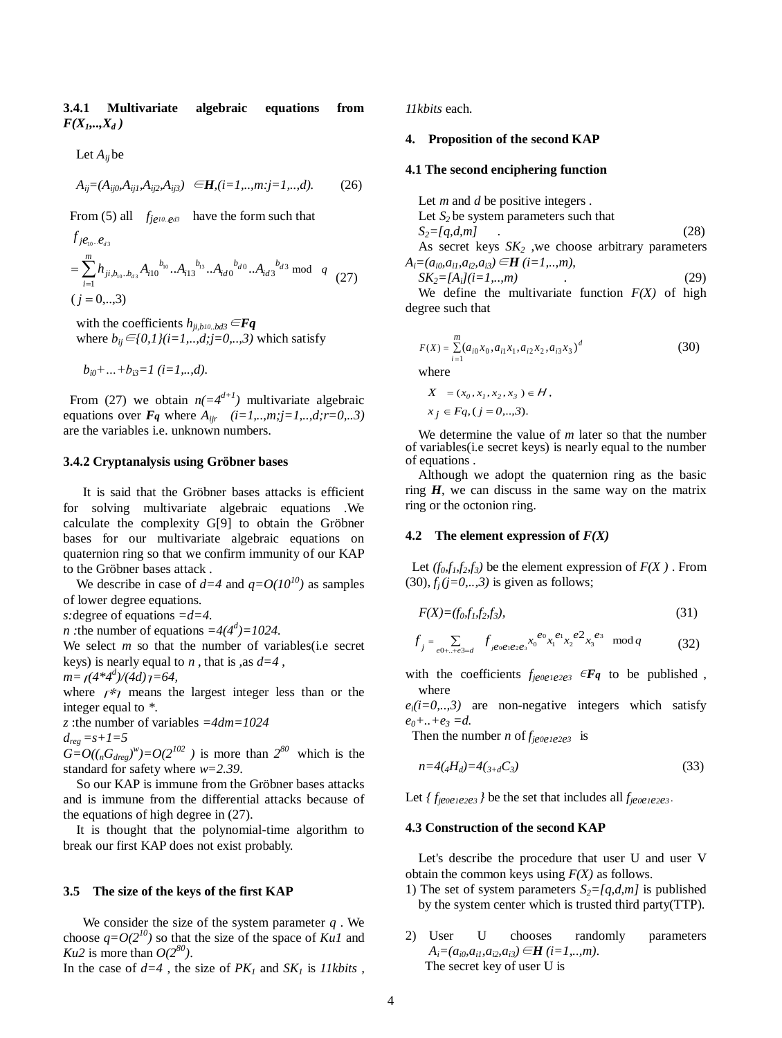**3.4.1 Multivariate algebraic equations from**   $F(X_1,...,X_d)$ 

Let *Aij* be

$$
A_{ij} = (A_{ij0}, A_{ij1}, A_{ij2}, A_{ij3}) \quad \in \mathbf{H}, (i = 1, \dots, m; j = 1, \dots, d). \tag{26}
$$

From (5) all *fje10..ed3* have the form such that

$$
f_{j e_{10}} e_{d3}
$$
  
\n
$$
= \sum_{i=1}^{m} h_{ji, b_{10}} e_{d3} A_{i10} b_{i0} ... A_{i13} b_{i3} ... A_{id0} b_{d0} ... A_{id3} b_{d3} \text{ mod } q
$$
  
\n
$$
(j = 0, ..., 3)
$$
  
\n
$$
f_{j e_{10}} e_{d3}
$$
  
\n
$$
= \sum_{i=1}^{m} h_{ji, b_{10}} e_{d3} A_{i10} b_{i0} ... A_{i13} b_{i3} ... A_{id0} b_{d0} ... A_{id3} b_{d3} \text{ mod } q
$$
  
\n
$$
f_{j e_{10}} e_{d3}
$$
  
\n
$$
= \sum_{i=1}^{m} h_{ji, b_{10}} e_{d3} A_{i10} b_{i0} ... A_{i13} b_{i3} ... A_{id0} b_{d0} ... A_{id3} b_{d3} \text{ mod } q
$$
  
\n
$$
= \sum_{i=1}^{m} h_{ji, b_{10}} e_{d3} A_{i10} b_{i0} ... A_{i13} b_{i1} ... A_{id0} b_{i0} ... A_{id3} b_{i0} ... A_{id3} b_{i0} ... A_{id0} b_{i0} ... A_{id0} b_{i0} ... A_{id0} b_{i0} ... A_{id0} b_{id0} ...
$$
  
\n
$$
= \sum_{i=1}^{m} h_{ji, b_{10}} e_{d3} A_{i10} b_{i0} ... A_{i13} b_{i0} ... A_{id0} b_{i0} ... A_{id0} b_{id0} ... A_{id0} b_{id0} ... A_{id0} b_{id0} ...
$$
  
\n
$$
= \sum_{i=1}^{m} h_{ji, b_{10}} e_{d3} A_{i10} b_{i0} ... A_{id0} b_{i0} ... A_{id0} b_{id0} ... A_{id0} b_{id0} ...
$$
  
\n
$$
= \sum_{i=1}^{m} h_{ji, b_{10}} e_{d3} A_{i10} b_{i0} ... A_{id0} b_{i0} ... A_{id0} b_{id0} ... A_{id0} b_{id0} ...
$$
  
\n

with the coefficients  $h_{ii,b10,bd3} \in \mathbf{Fq}$ where  $b_{ii}$  ∈{0,1}(i=1,..,d;j=0,..,3) which satisfy

$$
b_{i0} + ... + b_{i3} = 1
$$
 (*i*=1,..,d).

From (27) we obtain  $n(=4^{d+1})$  multivariate algebraic equations over  $\vec{F}_q$  where  $A_{irr}$   $(i=1,..,m; j=1,..,d; r=0,..3)$ are the variables i.e. unknown numbers.

#### **3.4.2 Cryptanalysis using Gröbner bases**

It is said that the Gröbner bases attacks is efficient for solving multivariate algebraic equations .We calculate the complexity G[9] to obtain the Gröbner bases for our multivariate algebraic equations on quaternion ring so that we confirm immunity of our KAP to the Gröbner bases attack .

We describe in case of  $d=4$  and  $q=Q(10^{10})$  as samples of lower degree equations.

*s:*degree of equations *=d=4.*

*n* : the number of equations  $=4(4^d) = 1024$ .

We select *m* so that the number of variables(*i.e* secret keys) is nearly equal to *n* , that is ,as *d=4* ,

$$
m = \frac{1}{4} \frac{44d}{4d} = 64,
$$

where  $r \nless 7$  means the largest integer less than or the integer equal to *\**.

*z* :the number of variables *=4dm=1024*

$$
d_{reg} = s + l = 5
$$

 $G=O((<sub>n</sub>G<sub>dreg</sub>)<sup>w</sup>)=O(2<sup>102</sup>)$  is more than  $2<sup>80</sup>$  which is the standard for safety where *w=2.39*.

So our KAP is immune from the Gröbner bases attacks and is immune from the differential attacks because of the equations of high degree in (27).

It is thought that the polynomial-time algorithm to break our first KAP does not exist probably.

#### **3.5 The size of the keys of the first KAP**

We consider the size of the system parameter *q* . We choose  $q=O(2^{10})$  so that the size of the space of *Ku1* and *Ku2* is more than  $O(2^{80})$ .

In the case of  $d=4$ , the size of  $PK_1$  and  $SK_1$  is *11kbits*,

*11kbits* each.

## **4. Proposition of the second KAP**

## **4.1 The second enciphering function**

Let *m* and *d* be positive integers . Let  $S_2$  be system parameters such that  $S_2 = [q, d, m]$  (28) As secret keys  $SK_2$ , we choose arbitrary parameters

$$
SK_2 = [A_i]/(i=1,...,m)
$$
 (29)  
We define the multivariate function  $F(Y)$  of high

We define the multivariate function *F(X)* of high degree such that

$$
F(X) = \sum_{i=1}^{m} (a_{i0}x_0, a_{i1}x_1, a_{i2}x_2, a_{i3}x_3)^d
$$
  
where  

$$
X = (x_0, x_1, x_2, x_3) \in H,
$$
 (30)

$$
x_j \in Fq, (j = 0, \ldots, 3).
$$

We determine the value of *m* later so that the number of variables(i.e secret keys) is nearly equal to the number of equations .

Although we adopt the quaternion ring as the basic ring  $H$ , we can discuss in the same way on the matrix ring or the octonion ring.

#### **4.2** The element expression of  $F(X)$

Let  $(f_0, f_1, f_2, f_3)$  be the element expression of  $F(X)$ . From  $(30)$ ,  $f_i$   $(j=0, \ldots, 3)$  is given as follows;

$$
F(X) = (f_0, f_1, f_2, f_3),\tag{31}
$$

$$
f_{j} = \sum_{e0 + \ldots + e3 = d} f_{je0e1e2e3} x_{0}^{e0} x_{1}^{e1} x_{2}^{e2} x_{3}^{e3} \mod q \tag{32}
$$

with the coefficients  $f_{je0e1e2e3} \in \mathbf{Fq}$  to be published, where

 $e_i(i=0,..,3)$  are non-negative integers which satisfy *e0+..+e<sup>3</sup> =d.*

Then the number *n* of  $f_{je0e1e2e3}$  is

$$
n=4({}_4H_d)=4({}_3+{}_{d}C_3)
$$
\n(33)

Let  ${f_{je0e1e2e3}}$  *}* be the set that includes all  $f_{je0e1e2e3}$ .

## **4.3 Construction of the second KAP**

Let's describe the procedure that user U and user V obtain the common keys using *F(X)* as follows.

- 1) The set of system parameters  $S_2 = [q, d, m]$  is published by the system center which is trusted third party(TTP).
- 2) User U chooses randomly parameters  $A_i = (a_{i0}, a_{i1}, a_{i2}, a_{i3}) \in H$  *(i=1,..,m)*. The secret key of user U is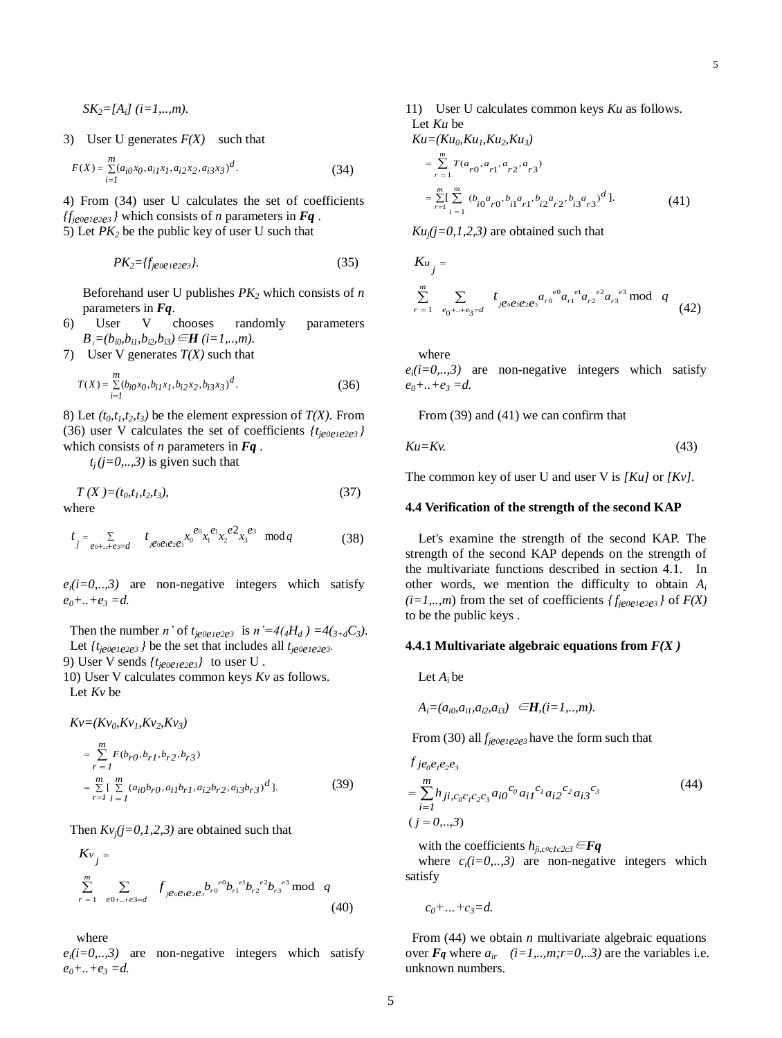$SK_2 = [A_i]$  (*i*=1,..,*m*).

3) User U generates  $F(X)$  such that

$$
F(X) = \sum_{i=1}^{m} (a_{i0}x_0, a_{i1}x_1, a_{i2}x_2, a_{i3}x_3)^d.
$$
 (34)

4) From (34) user U calculates the set of coefficients  ${f_{jeo}e_{1e2e3}}$  *l* which consists of *n* parameters in *Fq*. 5) Let  $PK_2$  be the public key of user U such that

$$
PK_2 = \{f_{je0e1e2e3}\}.\tag{35}
$$

Beforehand user U publishes *PK<sup>2</sup>* which consists of *n* parameters in *Fq*.

6) User V chooses randomly parameters *B*<sub>*i*</sub>=(*b*<sub>*i0</sub>,b*<sub>*i1</sub>,b*<sub>*i2</sub>,b*<sub>*i3</sub>*) $\in$ *H* (*i*=*1,..,m*).</sub></sub></sub></sub>

7) User V generates *T(X)* such that

$$
T(X) = \sum_{i=1}^{m} (b_{i0}x_0, b_{i1}x_1, b_{i2}x_2, b_{i3}x_3)^d.
$$
 (36)

8) Let  $(t_0, t_1, t_2, t_3)$  be the element expression of  $T(X)$ . From (36) user V calculates the set of coefficients  $\{t_{je0e1e2e3}\}$ which consists of *n* parameters in *Fq .*

 $t_i$  (*j*=0,..,3) is given such that

$$
T(X) = (t_0, t_1, t_2, t_3),\tag{37}
$$

where

$$
t_{j} = \sum_{e_0 + \ldots + e_3 = d} t_{j e_0 e_1 e_2 e_3} x_0^{e_0} x_1^{e_1} x_2^{e_2} x_3^{e_3} \mod q \tag{38}
$$

 $e_i(i=0, \ldots, 3)$  are non-negative integers which satisfy *e0+..+e<sup>3</sup> =d.*

Then the number *n*' of  $t_{je0e1e2e3}$  is  $n' = 4(4H_d) = 4(s_{+d}C_3)$ . Let  $\{t_{je0e1e2e3}\}$  be the set that includes all  $t_{je0e1e2e3}$ . 9) User V sends  $\{t_{je0e1e2e3}\}$  to user U.

10) User V calculates common keys *Kv* as follows. Let *Kv* be

$$
Kv = (Kv_0, Kv_1, Kv_2, Kv_3)
$$
  
\n
$$
= \sum_{r=1}^{m} F(b_{r0}, b_{r1}, b_{r2}, b_{r3})
$$
  
\n
$$
= \sum_{r=1}^{m} \sum_{i=1}^{m} (a_{i0}b_{r0}, a_{i1}b_{r1}, a_{i2}b_{r2}, a_{i3}b_{r3})^d
$$
]. (39)

Then  $Kv_i(j=0,1,2,3)$  are obtained such that

$$
K_{v_j} = \sum_{r=1}^{m} \sum_{e0+, \pm e3=d} f_{je_0e_1e_2e_3} b_{r0}^{e0} b_{r1}^{e1} b_{r2}^{e2} b_{r3}^{e3} \mod q
$$
\n(40)

where

 $e_i(i=0,..,3)$  are non-negative integers which satisfy *e0+..+e<sup>3</sup> =d.*

11) User U calculates common keys *Ku* as follows. Let *Ku* be

*Ku=(Ku0,Ku1,Ku2,Ku3)*

*m*

$$
= \sum_{r=1}^{\infty} T(a_{r0}, a_{r1}, a_{r2}, a_{r3})
$$
  

$$
= \sum_{r=1}^{m} \sum_{i=1}^{m} (b_{i0} a_{r0}, b_{i1} a_{r1}, b_{i2} a_{r2}, b_{i3} a_{r3})^{d}.
$$
 (41)

 $Ku_i(j=0,1,2,3)$  are obtained such that

$$
K u_j =
$$
\n
$$
\sum_{r=1}^{m} \sum_{e_0 + \dots + e_3 = d} t_{j e_0 e_1 e_2 e_3} a_{r0}^{e_0} a_{r1}^{e_1} a_{r2}^{e_2} a_{r3}^{e_3} \mod q
$$
\n(42)

where

 $e_i(i=0, \ldots, 3)$  are non-negative integers which satisfy *e0+..+e<sup>3</sup> =d.*

From (39) and (41) we can confirm that

$$
Ku = Kv.\tag{43}
$$

The common key of user U and user V is *[Ku]* or *[Kv].*

## **4.4 Verification of the strength of the second KAP**

Let's examine the strength of the second KAP. The strength of the second KAP depends on the strength of the multivariate functions described in section 4.1. In other words, we mention the difficulty to obtain *A<sup>i</sup>*  $(i=1,...,m)$  from the set of coefficients  ${f_{je0e1e2e3}}$  of  $F(X)$ to be the public keys .

#### **4.4.1 Multivariate algebraic equations from** *F(X )*

Let  $A_i$  be

$$
A_i = (a_{i0}, a_{i1}, a_{i2}, a_{i3}) \in \mathbf{H}, (i = 1, ..., m).
$$

From (30) all *fje0e1e2e<sup>3</sup>* have the form such that

$$
f_{j e_0 e_1 e_2 e_3}
$$
  
= 
$$
\sum_{i=1}^{m} h_{ji, c_0 c_1 c_2 c_3} a_{i0}^{c_0} a_{i1}^{c_1} a_{i2}^{c_2} a_{i3}^{c_3}
$$
 (44)  
(j = 0,...,3)

with the coefficients  $h_{ii,coclc2c3} \in \mathbf{Fq}$ 

where  $c_i(i=0, \ldots, 3)$  are non-negative integers which satisfy

*c0+…+c3=d.*

From (44) we obtain *n* multivariate algebraic equations over  $\mathbf{F}_q$  where  $a_{ir}$   $(i=1,..,m;r=0,..3)$  are the variables i.e. unknown numbers.